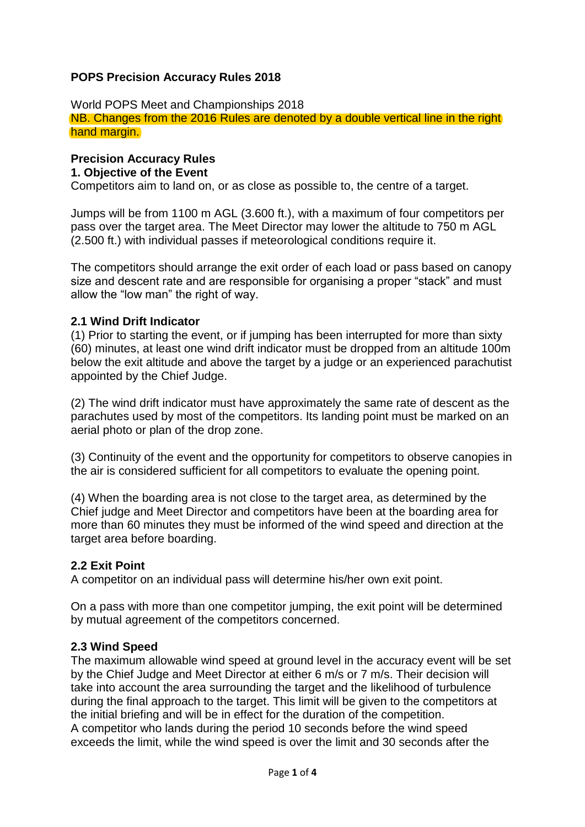### **POPS Precision Accuracy Rules 2018**

World POPS Meet and Championships 2018 NB. Changes from the 2016 Rules are denoted by a double vertical line in the right hand margin.

#### **Precision Accuracy Rules 1. Objective of the Event**

Competitors aim to land on, or as close as possible to, the centre of a target.

Jumps will be from 1100 m AGL (3.600 ft.), with a maximum of four competitors per pass over the target area. The Meet Director may lower the altitude to 750 m AGL (2.500 ft.) with individual passes if meteorological conditions require it.

The competitors should arrange the exit order of each load or pass based on canopy size and descent rate and are responsible for organising a proper "stack" and must allow the "low man" the right of way.

#### **2.1 Wind Drift Indicator**

(1) Prior to starting the event, or if jumping has been interrupted for more than sixty (60) minutes, at least one wind drift indicator must be dropped from an altitude 100m below the exit altitude and above the target by a judge or an experienced parachutist appointed by the Chief Judge.

(2) The wind drift indicator must have approximately the same rate of descent as the parachutes used by most of the competitors. Its landing point must be marked on an aerial photo or plan of the drop zone.

(3) Continuity of the event and the opportunity for competitors to observe canopies in the air is considered sufficient for all competitors to evaluate the opening point.

(4) When the boarding area is not close to the target area, as determined by the Chief judge and Meet Director and competitors have been at the boarding area for more than 60 minutes they must be informed of the wind speed and direction at the target area before boarding.

#### **2.2 Exit Point**

A competitor on an individual pass will determine his/her own exit point.

On a pass with more than one competitor jumping, the exit point will be determined by mutual agreement of the competitors concerned.

#### **2.3 Wind Speed**

The maximum allowable wind speed at ground level in the accuracy event will be set by the Chief Judge and Meet Director at either 6 m/s or 7 m/s. Their decision will take into account the area surrounding the target and the likelihood of turbulence during the final approach to the target. This limit will be given to the competitors at the initial briefing and will be in effect for the duration of the competition. A competitor who lands during the period 10 seconds before the wind speed exceeds the limit, while the wind speed is over the limit and 30 seconds after the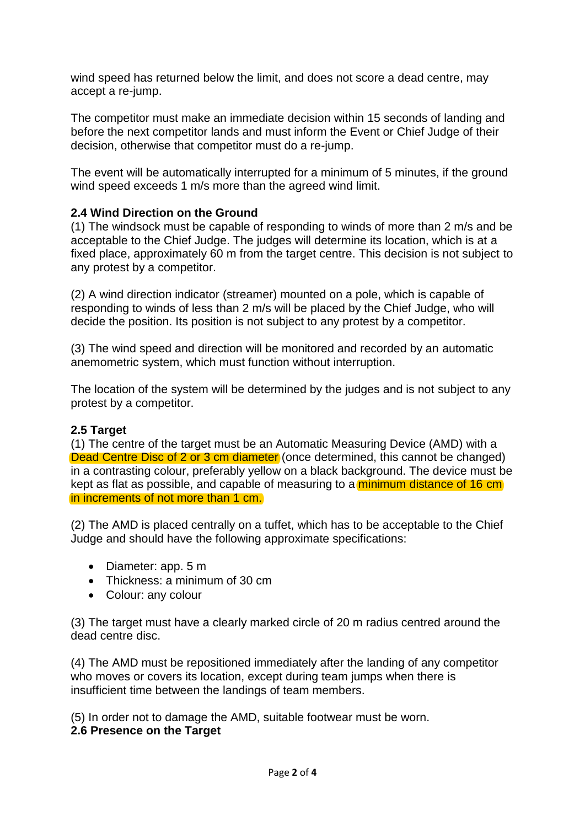wind speed has returned below the limit, and does not score a dead centre, may accept a re-jump.

The competitor must make an immediate decision within 15 seconds of landing and before the next competitor lands and must inform the Event or Chief Judge of their decision, otherwise that competitor must do a re-jump.

The event will be automatically interrupted for a minimum of 5 minutes, if the ground wind speed exceeds 1 m/s more than the agreed wind limit.

## **2.4 Wind Direction on the Ground**

(1) The windsock must be capable of responding to winds of more than 2 m/s and be acceptable to the Chief Judge. The judges will determine its location, which is at a fixed place, approximately 60 m from the target centre. This decision is not subject to any protest by a competitor.

(2) A wind direction indicator (streamer) mounted on a pole, which is capable of responding to winds of less than 2 m/s will be placed by the Chief Judge, who will decide the position. Its position is not subject to any protest by a competitor.

(3) The wind speed and direction will be monitored and recorded by an automatic anemometric system, which must function without interruption.

The location of the system will be determined by the judges and is not subject to any protest by a competitor.

## **2.5 Target**

(1) The centre of the target must be an Automatic Measuring Device (AMD) with a Dead Centre Disc of 2 or 3 cm diameter (once determined, this cannot be changed) in a contrasting colour, preferably yellow on a black background. The device must be kept as flat as possible, and capable of measuring to a minimum distance of 16 cm in increments of not more than 1 cm.

(2) The AMD is placed centrally on a tuffet, which has to be acceptable to the Chief Judge and should have the following approximate specifications:

- Diameter: app. 5 m
- Thickness: a minimum of 30 cm
- Colour: any colour

(3) The target must have a clearly marked circle of 20 m radius centred around the dead centre disc.

(4) The AMD must be repositioned immediately after the landing of any competitor who moves or covers its location, except during team jumps when there is insufficient time between the landings of team members.

(5) In order not to damage the AMD, suitable footwear must be worn. **2.6 Presence on the Target**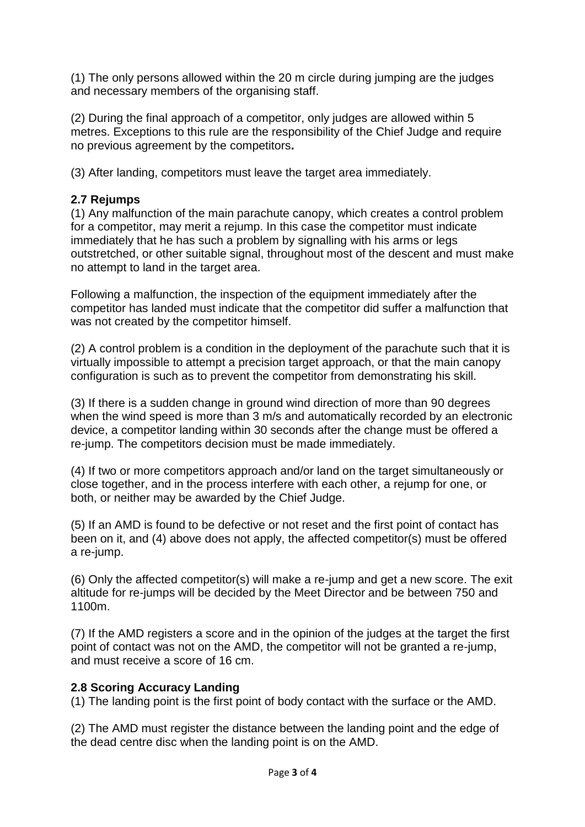(1) The only persons allowed within the 20 m circle during jumping are the judges and necessary members of the organising staff.

(2) During the final approach of a competitor, only judges are allowed within 5 metres. Exceptions to this rule are the responsibility of the Chief Judge and require no previous agreement by the competitors**.**

(3) After landing, competitors must leave the target area immediately.

# **2.7 Rejumps**

(1) Any malfunction of the main parachute canopy, which creates a control problem for a competitor, may merit a rejump. In this case the competitor must indicate immediately that he has such a problem by signalling with his arms or legs outstretched, or other suitable signal, throughout most of the descent and must make no attempt to land in the target area.

Following a malfunction, the inspection of the equipment immediately after the competitor has landed must indicate that the competitor did suffer a malfunction that was not created by the competitor himself.

(2) A control problem is a condition in the deployment of the parachute such that it is virtually impossible to attempt a precision target approach, or that the main canopy configuration is such as to prevent the competitor from demonstrating his skill.

(3) If there is a sudden change in ground wind direction of more than 90 degrees when the wind speed is more than 3 m/s and automatically recorded by an electronic device, a competitor landing within 30 seconds after the change must be offered a re-jump. The competitors decision must be made immediately.

(4) If two or more competitors approach and/or land on the target simultaneously or close together, and in the process interfere with each other, a rejump for one, or both, or neither may be awarded by the Chief Judge.

(5) If an AMD is found to be defective or not reset and the first point of contact has been on it, and (4) above does not apply, the affected competitor(s) must be offered a re-jump.

(6) Only the affected competitor(s) will make a re-jump and get a new score. The exit altitude for re-jumps will be decided by the Meet Director and be between 750 and 1100m.

(7) If the AMD registers a score and in the opinion of the judges at the target the first point of contact was not on the AMD, the competitor will not be granted a re-jump, and must receive a score of 16 cm.

## **2.8 Scoring Accuracy Landing**

(1) The landing point is the first point of body contact with the surface or the AMD.

(2) The AMD must register the distance between the landing point and the edge of the dead centre disc when the landing point is on the AMD.